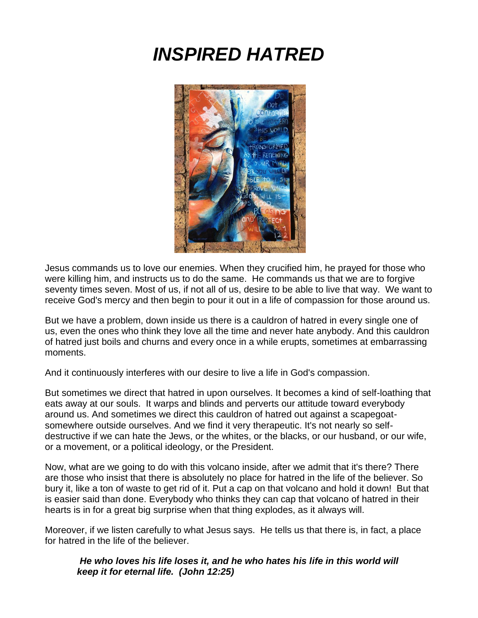# *INSPIRED HATRED*



Jesus commands us to love our enemies. When they crucified him, he prayed for those who were killing him, and instructs us to do the same. He commands us that we are to forgive seventy times seven. Most of us, if not all of us, desire to be able to live that way. We want to receive God's mercy and then begin to pour it out in a life of compassion for those around us.

But we have a problem, down inside us there is a cauldron of hatred in every single one of us, even the ones who think they love all the time and never hate anybody. And this cauldron of hatred just boils and churns and every once in a while erupts, sometimes at embarrassing moments.

And it continuously interferes with our desire to live a life in God's compassion.

But sometimes we direct that hatred in upon ourselves. It becomes a kind of self-loathing that eats away at our souls. It warps and blinds and perverts our attitude toward everybody around us. And sometimes we direct this cauldron of hatred out against a scapegoatsomewhere outside ourselves. And we find it very therapeutic. It's not nearly so selfdestructive if we can hate the Jews, or the whites, or the blacks, or our husband, or our wife, or a movement, or a political ideology, or the President.

Now, what are we going to do with this volcano inside, after we admit that it's there? There are those who insist that there is absolutely no place for hatred in the life of the believer. So bury it, like a ton of waste to get rid of it. Put a cap on that volcano and hold it down! But that is easier said than done. Everybody who thinks they can cap that volcano of hatred in their hearts is in for a great big surprise when that thing explodes, as it always will.

Moreover, if we listen carefully to what Jesus says. He tells us that there is, in fact, a place for hatred in the life of the believer.

*He who loves his life loses it, and he who hates his life in this world will keep it for eternal life. (John 12:25)*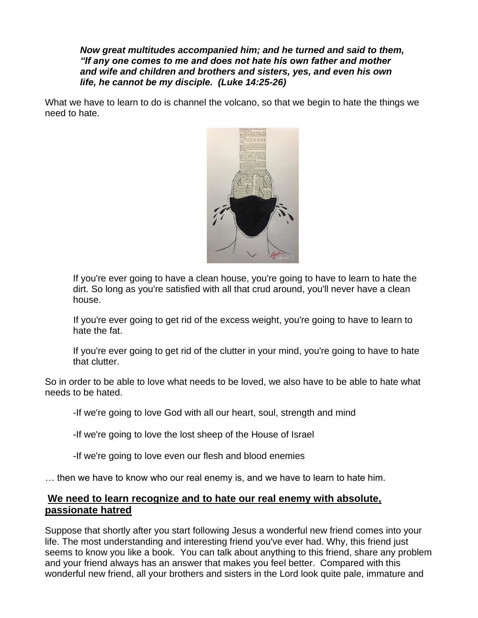*Now great multitudes accompanied him; and he turned and said to them, "If any one comes to me and does not hate his own father and mother and wife and children and brothers and sisters, yes, and even his own life, he cannot be my disciple. (Luke 14:25-26)*

What we have to learn to do is channel the volcano, so that we begin to hate the things we need to hate.



If you're ever going to have a clean house, you're going to have to learn to hate the dirt. So long as you're satisfied with all that crud around, you'll never have a clean house.

If you're ever going to get rid of the excess weight, you're going to have to learn to hate the fat.

If you're ever going to get rid of the clutter in your mind, you're going to have to hate that clutter.

So in order to be able to love what needs to be loved, we also have to be able to hate what needs to be hated.

-If we're going to love God with all our heart, soul, strength and mind

-If we're going to love the lost sheep of the House of Israel

-If we're going to love even our flesh and blood enemies

… then we have to know who our real enemy is, and we have to learn to hate him.

## **We need to learn recognize and to hate our real enemy with absolute, passionate hatred**

Suppose that shortly after you start following Jesus a wonderful new friend comes into your life. The most understanding and interesting friend you've ever had. Why, this friend just seems to know you like a book. You can talk about anything to this friend, share any problem and your friend always has an answer that makes you feel better. Compared with this wonderful new friend, all your brothers and sisters in the Lord look quite pale, immature and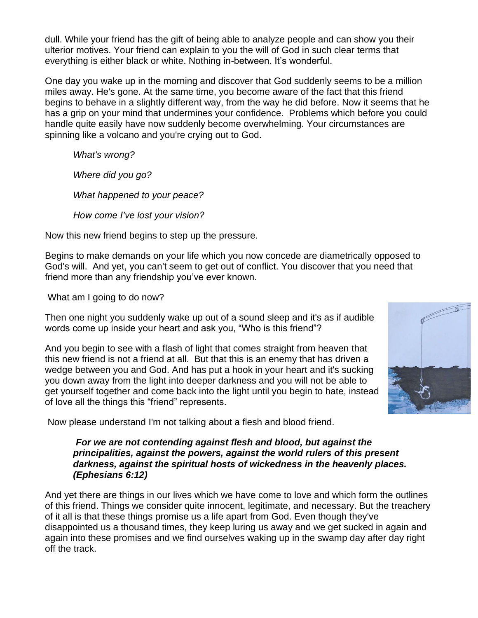dull. While your friend has the gift of being able to analyze people and can show you their ulterior motives. Your friend can explain to you the will of God in such clear terms that everything is either black or white. Nothing in-between. It's wonderful.

One day you wake up in the morning and discover that God suddenly seems to be a million miles away. He's gone. At the same time, you become aware of the fact that this friend begins to behave in a slightly different way, from the way he did before. Now it seems that he has a grip on your mind that undermines your confidence. Problems which before you could handle quite easily have now suddenly become overwhelming. Your circumstances are spinning like a volcano and you're crying out to God.

*What's wrong?*

*Where did you go?*

*What happened to your peace?*

*How come I've lost your vision?*

Now this new friend begins to step up the pressure.

Begins to make demands on your life which you now concede are diametrically opposed to God's will. And yet, you can't seem to get out of conflict. You discover that you need that friend more than any friendship you've ever known.

What am I going to do now?

Then one night you suddenly wake up out of a sound sleep and it's as if audible words come up inside your heart and ask you, "Who is this friend"?

And you begin to see with a flash of light that comes straight from heaven that this new friend is not a friend at all. But that this is an enemy that has driven a wedge between you and God. And has put a hook in your heart and it's sucking you down away from the light into deeper darkness and you will not be able to get yourself together and come back into the light until you begin to hate, instead of love all the things this "friend" represents.



#### *For we are not contending against flesh and blood, but against the principalities, against the powers, against the world rulers of this present darkness, against the spiritual hosts of wickedness in the heavenly places. (Ephesians 6:12)*

And yet there are things in our lives which we have come to love and which form the outlines of this friend. Things we consider quite innocent, legitimate, and necessary. But the treachery of it all is that these things promise us a life apart from God. Even though they've disappointed us a thousand times, they keep luring us away and we get sucked in again and again into these promises and we find ourselves waking up in the swamp day after day right off the track.

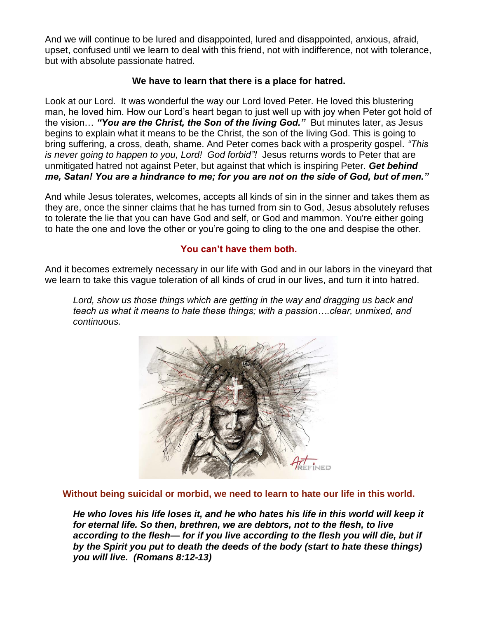And we will continue to be lured and disappointed, lured and disappointed, anxious, afraid, upset, confused until we learn to deal with this friend, not with indifference, not with tolerance, but with absolute passionate hatred.

## **We have to learn that there is a place for hatred.**

Look at our Lord. It was wonderful the way our Lord loved Peter. He loved this blustering man, he loved him. How our Lord's heart began to just well up with joy when Peter got hold of the vision… *"You are the Christ, the Son of the living God."* But minutes later, as Jesus begins to explain what it means to be the Christ, the son of the living God. This is going to bring suffering, a cross, death, shame. And Peter comes back with a prosperity gospel. *"This is never going to happen to you, Lord! God forbid"!* Jesus returns words to Peter that are unmitigated hatred not against Peter, but against that which is inspiring Peter. *Get behind me, Satan! You are a hindrance to me; for you are not on the side of God, but of men."* 

And while Jesus tolerates, welcomes, accepts all kinds of sin in the sinner and takes them as they are, once the sinner claims that he has turned from sin to God, Jesus absolutely refuses to tolerate the lie that you can have God and self, or God and mammon. You're either going to hate the one and love the other or you're going to cling to the one and despise the other.

## **You can't have them both.**

And it becomes extremely necessary in our life with God and in our labors in the vineyard that we learn to take this vague toleration of all kinds of crud in our lives, and turn it into hatred.

Lord, show us those things which are getting in the way and dragging us back and *teach us what it means to hate these things; with a passion….clear, unmixed, and continuous.*



**Without being suicidal or morbid, we need to learn to hate our life in this world.**

*He who loves his life loses it, and he who hates his life in this world will keep it for eternal life. So then, brethren, we are debtors, not to the flesh, to live according to the flesh— for if you live according to the flesh you will die, but if by the Spirit you put to death the deeds of the body (start to hate these things) you will live. (Romans 8:12-13)*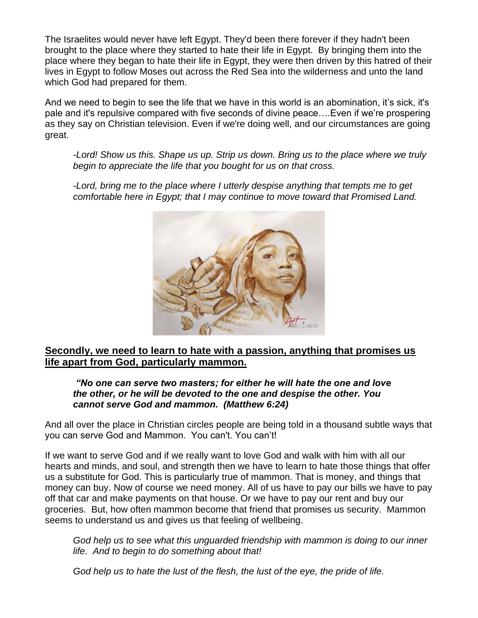The Israelites would never have left Egypt. They'd been there forever if they hadn't been brought to the place where they started to hate their life in Egypt. By bringing them into the place where they began to hate their life in Egypt, they were then driven by this hatred of their lives in Egypt to follow Moses out across the Red Sea into the wilderness and unto the land which God had prepared for them.

And we need to begin to see the life that we have in this world is an abomination, it's sick, it's pale and it's repulsive compared with five seconds of divine peace….Even if we're prospering as they say on Christian television. Even if we're doing well, and our circumstances are going great.

*-Lord! Show us this. Shape us up. Strip us down. Bring us to the place where we truly begin to appreciate the life that you bought for us on that cross.*

*-Lord, bring me to the place where I utterly despise anything that tempts me to get comfortable here in Egypt; that I may continue to move toward that Promised Land.*



## **Secondly, we need to learn to hate with a passion, anything that promises us life apart from God, particularly mammon.**

## *"No one can serve two masters; for either he will hate the one and love the other, or he will be devoted to the one and despise the other. You cannot serve God and mammon. (Matthew 6:24)*

And all over the place in Christian circles people are being told in a thousand subtle ways that you can serve God and Mammon. You can't. You can't!

If we want to serve God and if we really want to love God and walk with him with all our hearts and minds, and soul, and strength then we have to learn to hate those things that offer us a substitute for God. This is particularly true of mammon. That is money, and things that money can buy. Now of course we need money. All of us have to pay our bills we have to pay off that car and make payments on that house. Or we have to pay our rent and buy our groceries. But, how often mammon become that friend that promises us security. Mammon seems to understand us and gives us that feeling of wellbeing.

*God help us to see what this unguarded friendship with mammon is doing to our inner life. And to begin to do something about that!* 

*God help us to hate the lust of the flesh, the lust of the eye, the pride of life.*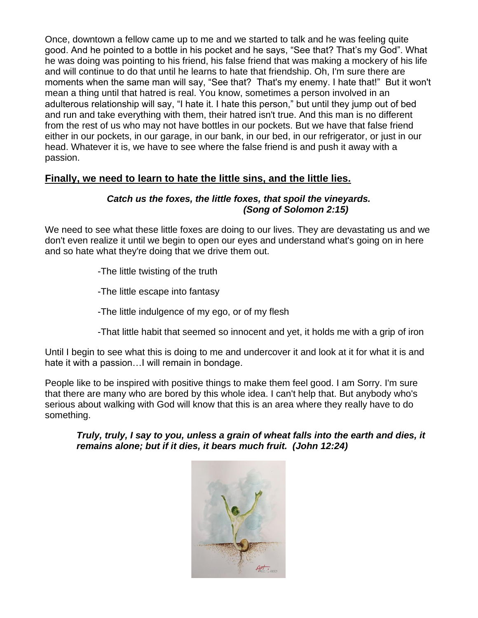Once, downtown a fellow came up to me and we started to talk and he was feeling quite good. And he pointed to a bottle in his pocket and he says, "See that? That's my God". What he was doing was pointing to his friend, his false friend that was making a mockery of his life and will continue to do that until he learns to hate that friendship. Oh, I'm sure there are moments when the same man will say, "See that? That's my enemy. I hate that!" But it won't mean a thing until that hatred is real. You know, sometimes a person involved in an adulterous relationship will say, "I hate it. I hate this person," but until they jump out of bed and run and take everything with them, their hatred isn't true. And this man is no different from the rest of us who may not have bottles in our pockets. But we have that false friend either in our pockets, in our garage, in our bank, in our bed, in our refrigerator, or just in our head. Whatever it is, we have to see where the false friend is and push it away with a passion.

## **Finally, we need to learn to hate the little sins, and the little lies.**

## *Catch us the foxes, the little foxes, that spoil the vineyards. (Song of Solomon 2:15)*

We need to see what these little foxes are doing to our lives. They are devastating us and we don't even realize it until we begin to open our eyes and understand what's going on in here and so hate what they're doing that we drive them out.

- -The little twisting of the truth
- -The little escape into fantasy
- -The little indulgence of my ego, or of my flesh
- -That little habit that seemed so innocent and yet, it holds me with a grip of iron

Until I begin to see what this is doing to me and undercover it and look at it for what it is and hate it with a passion…I will remain in bondage.

People like to be inspired with positive things to make them feel good. I am Sorry. I'm sure that there are many who are bored by this whole idea. I can't help that. But anybody who's serious about walking with God will know that this is an area where they really have to do something.

*Truly, truly, I say to you, unless a grain of wheat falls into the earth and dies, it remains alone; but if it dies, it bears much fruit. (John 12:24)*